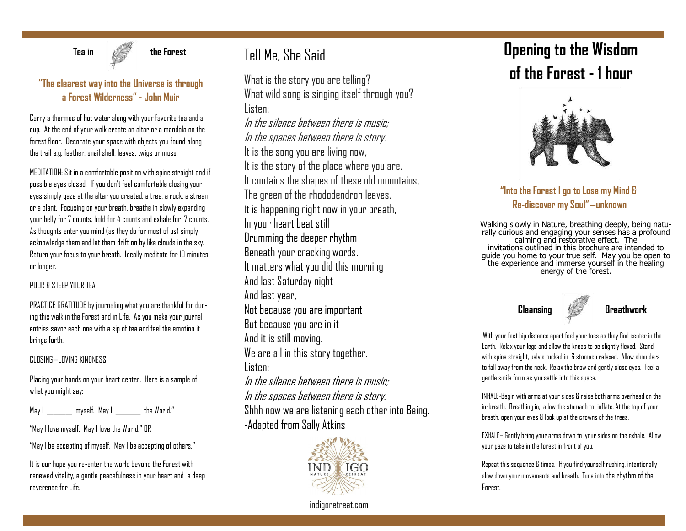

 **Tea in the Forest** 

### **"The clearest way into the Universe is through a Forest Wilderness" - John Muir**

Carry a thermos of hot water along with your favorite tea and a cup. At the end of your walk create an altar or a mandala on the forest floor. Decorate your space with objects you found along the trail e.g. feather, snail shell, leaves, twigs or moss.

MEDITATION: Sit in a comfortable position with spine straight and if possible eyes closed. If you don't feel comfortable closing your eyes simply gaze at the altar you created, a tree, a rock, a stream or a plant. Focusing on your breath, breathe in slowly expanding your belly for 7 counts, hold for 4 counts and exhale for 7 counts. As thoughts enter you mind (as they do for most of us) simply acknowledge them and let them drift on by like clouds in the sky. Return your focus to your breath. Ideally meditate for 10 minutes or longer.

#### POUR & STEEP YOUR TEA

PRACTICE GRATITUDE by journaling what you are thankful for during this walk in the Forest and in Life. As you make your journal entries savor each one with a sip of tea and feel the emotion it brings forth.

#### CLOSING—LOVING KINDNESS

Placing your hands on your heart center. Here is a sample of what you might say:

May I \_\_\_\_\_\_\_\_ myself. May I \_\_\_\_\_\_\_\_ the World."

"May I love myself. May I love the World." OR

"May I be accepting of myself. May I be accepting of others."

It is our hope you re-enter the world beyond the Forest with renewed vitality, a gentle peacefulness in your heart and a deep reverence for Life.

## Tell Me, She Said

What is the story you are telling? What wild song is singing itself through you? Listen: In the silence between there is music;

In the spaces between there is story. It is the song you are living now, It is the story of the place where you are. It contains the shapes of these old mountains, The green of the rhododendron leaves. It is happening right now in your breath, In your heart beat still Drumming the deeper rhythm Beneath your cracking words. It matters what you did this morning And last Saturday night And last year, Not because you are important But because you are in it And it is still moving. We are all in this story together. Listen: In the silence between there is music; In the spaces between there is story. Shhh now we are listening each other into Being. -Adapted from Sally Atkins



# **Opening to the Wisdom of the Forest - 1 hour**



**"Into the Forest I go to Lose my Mind & Re-discover my Soul"—unknown** 

Walking slowly in Nature, breathing deeply, being naturally curious and engaging your senses has a profound calming and restorative effect. The invitations outlined in this brochure are intended to guide you home to your true self. May you be open to the experience and immerse yourself in the healing energy of the forest.



With your feet hip distance apart feel your toes as they find center in the Earth. Relax your legs and allow the knees to be slightly flexed. Stand with spine straight, pelvis tucked in & stomach relaxed. Allow shoulders to fall away from the neck. Relax the brow and gently close eyes. Feel a gentle smile form as you settle into this space.

INHALE-Begin with arms at your sides & raise both arms overhead on the in-breath. Breathing in, allow the stomach to inflate. At the top of your breath, open your eyes & look up at the crowns of the trees.

EXHALE– Gently bring your arms down to your sides on the exhale. Allow your gaze to take in the forest in front of you.

Repeat this sequence 6 times. If you find yourself rushing, intentionally slow down your movements and breath. Tune into the rhythm of the Forest.